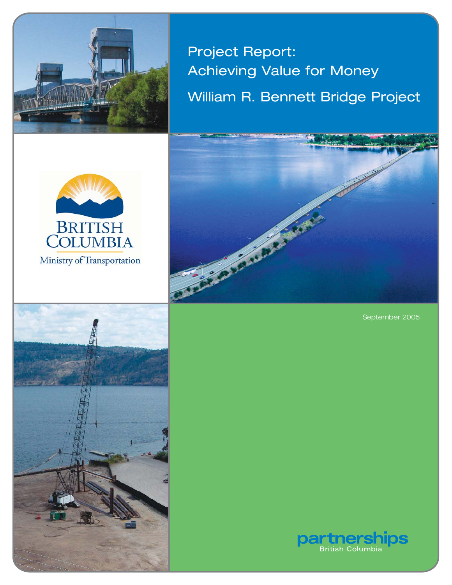

Project Report: Achieving Value for Money William R. Bennett Bridge Project





September 2005



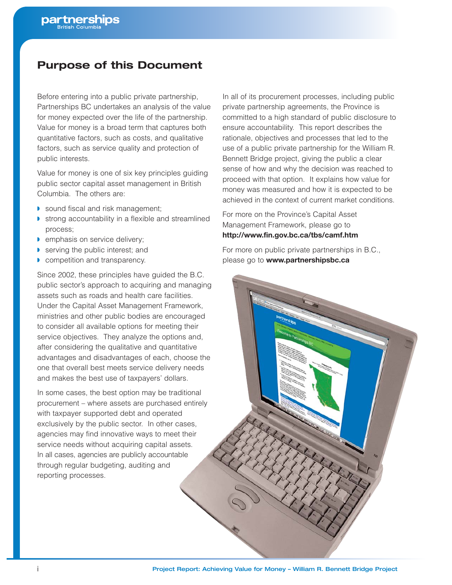# **Purpose of this Document**

Before entering into a public private partnership, Partnerships BC undertakes an analysis of the value for money expected over the life of the partnership. Value for money is a broad term that captures both quantitative factors, such as costs, and qualitative factors, such as service quality and protection of public interests.

Value for money is one of six key principles guiding public sector capital asset management in British Columbia. The others are:

- ◗ sound fiscal and risk management;
- ◗ strong accountability in a flexible and streamlined process;
- ◗ emphasis on service delivery;
- serving the public interest; and
- ◗ competition and transparency.

Since 2002, these principles have guided the B.C. public sector's approach to acquiring and managing assets such as roads and health care facilities. Under the Capital Asset Management Framework, ministries and other public bodies are encouraged to consider all available options for meeting their service objectives. They analyze the options and, after considering the qualitative and quantitative advantages and disadvantages of each, choose the one that overall best meets service delivery needs and makes the best use of taxpayers' dollars.

In some cases, the best option may be traditional procurement – where assets are purchased entirely with taxpayer supported debt and operated exclusively by the public sector. In other cases, agencies may find innovative ways to meet their service needs without acquiring capital assets. In all cases, agencies are publicly accountable through regular budgeting, auditing and reporting processes.

In all of its procurement processes, including public private partnership agreements, the Province is committed to a high standard of public disclosure to ensure accountability. This report describes the rationale, objectives and processes that led to the use of a public private partnership for the William R. Bennett Bridge project, giving the public a clear sense of how and why the decision was reached to proceed with that option. It explains how value for money was measured and how it is expected to be achieved in the context of current market conditions.

For more on the Province's Capital Asset Management Framework, please go to **http://www.fin.gov.bc.ca/tbs/camf.htm**

For more on public private partnerships in B.C., please go to **www.partnershipsbc.ca**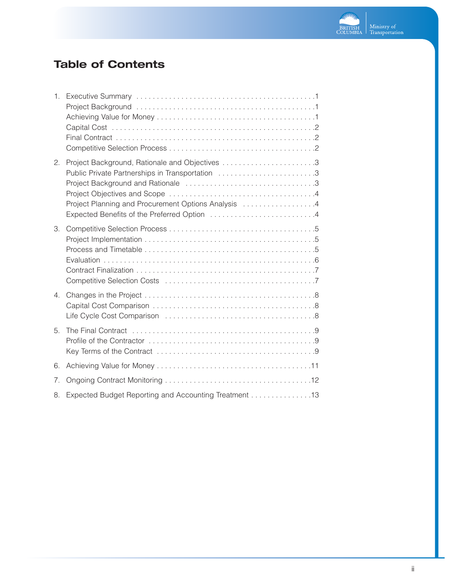

# **Table of Contents**

| 1.             |                                                                                                                                                       |
|----------------|-------------------------------------------------------------------------------------------------------------------------------------------------------|
| 2.             | Public Private Partnerships in Transportation 3<br>Project Planning and Procurement Options Analysis 4<br>Expected Benefits of the Preferred Option 4 |
| 3.             |                                                                                                                                                       |
| 4 <sub>1</sub> |                                                                                                                                                       |
| 5.             |                                                                                                                                                       |
| 6.             |                                                                                                                                                       |
| 7.             |                                                                                                                                                       |
| 8.             | Expected Budget Reporting and Accounting Treatment 13                                                                                                 |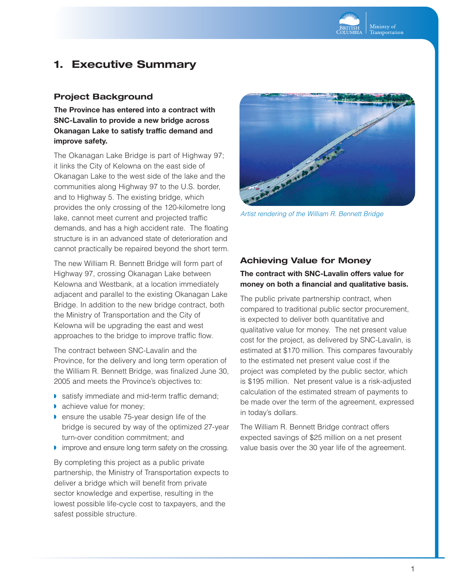

# **1. Executive Summary**

### **Project Background**

**The Province has entered into a contract with SNC-Lavalin to provide a new bridge across Okanagan Lake to satisfy traffic demand and improve safety.**

The Okanagan Lake Bridge is part of Highway 97; it links the City of Kelowna on the east side of Okanagan Lake to the west side of the lake and the communities along Highway 97 to the U.S. border, and to Highway 5. The existing bridge, which provides the only crossing of the 120-kilometre long lake, cannot meet current and projected traffic demands, and has a high accident rate. The floating structure is in an advanced state of deterioration and cannot practically be repaired beyond the short term.

The new William R. Bennett Bridge will form part of Highway 97, crossing Okanagan Lake between Kelowna and Westbank, at a location immediately adjacent and parallel to the existing Okanagan Lake Bridge. In addition to the new bridge contract, both the Ministry of Transportation and the City of Kelowna will be upgrading the east and west approaches to the bridge to improve traffic flow.

The contract between SNC-Lavalin and the Province, for the delivery and long term operation of the William R. Bennett Bridge, was finalized June 30, 2005 and meets the Province's objectives to:

- ◗ satisfy immediate and mid-term traffic demand;
- achieve value for money;
- ◗ ensure the usable 75-year design life of the bridge is secured by way of the optimized 27-year turn-over condition commitment; and
- ◗ improve and ensure long term safety on the crossing.

By completing this project as a public private partnership, the Ministry of Transportation expects to deliver a bridge which will benefit from private sector knowledge and expertise, resulting in the lowest possible life-cycle cost to taxpayers, and the safest possible structure.



*Artist rendering of the William R. Bennett Bridge*

# **Achieving Value for Money**

### **The contract with SNC-Lavalin offers value for money on both a financial and qualitative basis.**

The public private partnership contract, when compared to traditional public sector procurement, is expected to deliver both quantitative and qualitative value for money. The net present value cost for the project, as delivered by SNC-Lavalin, is estimated at \$170 million. This compares favourably to the estimated net present value cost if the project was completed by the public sector, which is \$195 million. Net present value is a risk-adjusted calculation of the estimated stream of payments to be made over the term of the agreement, expressed in today's dollars.

The William R. Bennett Bridge contract offers expected savings of \$25 million on a net present value basis over the 30 year life of the agreement.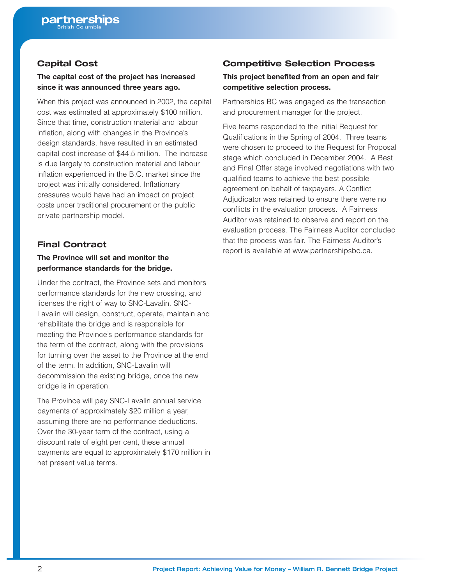# **Capital Cost**

#### **The capital cost of the project has increased since it was announced three years ago.**

When this project was announced in 2002, the capital cost was estimated at approximately \$100 million. Since that time, construction material and labour inflation, along with changes in the Province's design standards, have resulted in an estimated capital cost increase of \$44.5 million. The increase is due largely to construction material and labour inflation experienced in the B.C. market since the project was initially considered. Inflationary pressures would have had an impact on project costs under traditional procurement or the public private partnership model.

### **Final Contract**

#### **The Province will set and monitor the performance standards for the bridge.**

Under the contract, the Province sets and monitors performance standards for the new crossing, and licenses the right of way to SNC-Lavalin. SNC-Lavalin will design, construct, operate, maintain and rehabilitate the bridge and is responsible for meeting the Province's performance standards for the term of the contract, along with the provisions for turning over the asset to the Province at the end of the term. In addition, SNC-Lavalin will decommission the existing bridge, once the new bridge is in operation.

The Province will pay SNC-Lavalin annual service payments of approximately \$20 million a year, assuming there are no performance deductions. Over the 30-year term of the contract, using a discount rate of eight per cent, these annual payments are equal to approximately \$170 million in net present value terms.

# **Competitive Selection Process**

#### **This project benefited from an open and fair competitive selection process.**

Partnerships BC was engaged as the transaction and procurement manager for the project.

Five teams responded to the initial Request for Qualifications in the Spring of 2004. Three teams were chosen to proceed to the Request for Proposal stage which concluded in December 2004. A Best and Final Offer stage involved negotiations with two qualified teams to achieve the best possible agreement on behalf of taxpayers. A Conflict Adjudicator was retained to ensure there were no conflicts in the evaluation process. A Fairness Auditor was retained to observe and report on the evaluation process. The Fairness Auditor concluded that the process was fair. The Fairness Auditor's report is available at www.partnershipsbc.ca.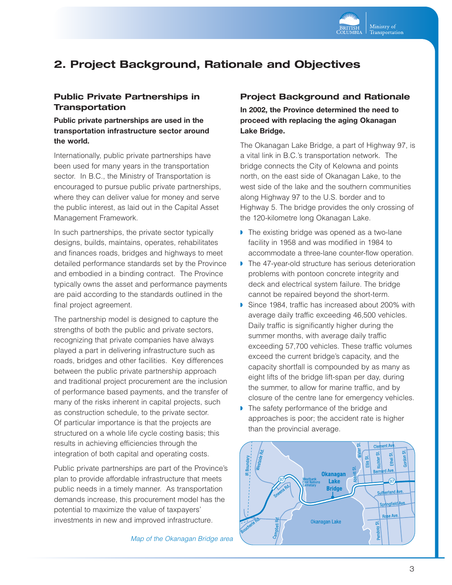

# **2. Project Background, Rationale and Objectives**

### **Public Private Partnerships in Transportation**

#### **Public private partnerships are used in the transportation infrastructure sector around the world.**

Internationally, public private partnerships have been used for many years in the transportation sector. In B.C., the Ministry of Transportation is encouraged to pursue public private partnerships, where they can deliver value for money and serve the public interest, as laid out in the Capital Asset Management Framework.

In such partnerships, the private sector typically designs, builds, maintains, operates, rehabilitates and finances roads, bridges and highways to meet detailed performance standards set by the Province and embodied in a binding contract. The Province typically owns the asset and performance payments are paid according to the standards outlined in the final project agreement.

The partnership model is designed to capture the strengths of both the public and private sectors, recognizing that private companies have always played a part in delivering infrastructure such as roads, bridges and other facilities. Key differences between the public private partnership approach and traditional project procurement are the inclusion of performance based payments, and the transfer of many of the risks inherent in capital projects, such as construction schedule, to the private sector. Of particular importance is that the projects are structured on a whole life cycle costing basis; this results in achieving efficiencies through the integration of both capital and operating costs.

Public private partnerships are part of the Province's plan to provide affordable infrastructure that meets public needs in a timely manner. As transportation demands increase, this procurement model has the potential to maximize the value of taxpayers' investments in new and improved infrastructure.

*Map of the Okanagan Bridge area*

#### **Project Background and Rationale**

**In 2002, the Province determined the need to proceed with replacing the aging Okanagan Lake Bridge.**

The Okanagan Lake Bridge, a part of Highway 97, is a vital link in B.C.'s transportation network. The bridge connects the City of Kelowna and points north, on the east side of Okanagan Lake, to the west side of the lake and the southern communities along Highway 97 to the U.S. border and to Highway 5. The bridge provides the only crossing of the 120-kilometre long Okanagan Lake.

- ◗ The existing bridge was opened as a two-lane facility in 1958 and was modified in 1984 to accommodate a three-lane counter-flow operation.
- ◗ The 47-year-old structure has serious deterioration problems with pontoon concrete integrity and deck and electrical system failure. The bridge cannot be repaired beyond the short-term.
- ◗ Since 1984, traffic has increased about 200% with average daily traffic exceeding 46,500 vehicles. Daily traffic is significantly higher during the summer months, with average daily traffic exceeding 57,700 vehicles. These traffic volumes exceed the current bridge's capacity, and the capacity shortfall is compounded by as many as eight lifts of the bridge lift-span per day, during the summer, to allow for marine traffic, and by closure of the centre lane for emergency vehicles.
- ◗ The safety performance of the bridge and approaches is poor; the accident rate is higher than the provincial average.

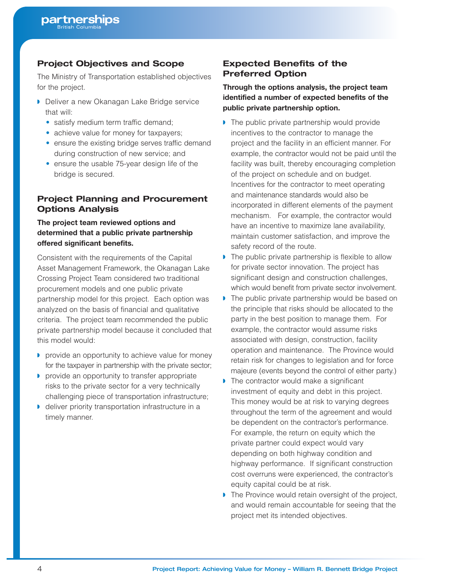## **Project Objectives and Scope**

The Ministry of Transportation established objectives for the project.

- ◗ Deliver a new Okanagan Lake Bridge service that will:
	- satisfy medium term traffic demand;
	- achieve value for money for taxpayers;
	- ensure the existing bridge serves traffic demand during construction of new service; and
	- ensure the usable 75-year design life of the bridge is secured.

# **Project Planning and Procurement Options Analysis**

### **The project team reviewed options and determined that a public private partnership offered significant benefits.**

Consistent with the requirements of the Capital Asset Management Framework, the Okanagan Lake Crossing Project Team considered two traditional procurement models and one public private partnership model for this project. Each option was analyzed on the basis of financial and qualitative criteria. The project team recommended the public private partnership model because it concluded that this model would:

- ◗ provide an opportunity to achieve value for money for the taxpayer in partnership with the private sector;
- ◗ provide an opportunity to transfer appropriate risks to the private sector for a very technically challenging piece of transportation infrastructure;
- ◗ deliver priority transportation infrastructure in a timely manner.

# **Expected Benefits of the Preferred Option**

### **Through the options analysis, the project team identified a number of expected benefits of the public private partnership option.**

- ◗ The public private partnership would provide incentives to the contractor to manage the project and the facility in an efficient manner. For example, the contractor would not be paid until the facility was built, thereby encouraging completion of the project on schedule and on budget. Incentives for the contractor to meet operating and maintenance standards would also be incorporated in different elements of the payment mechanism. For example, the contractor would have an incentive to maximize lane availability, maintain customer satisfaction, and improve the safety record of the route.
- ◗ The public private partnership is flexible to allow for private sector innovation. The project has significant design and construction challenges, which would benefit from private sector involvement.
- ◗ The public private partnership would be based on the principle that risks should be allocated to the party in the best position to manage them. For example, the contractor would assume risks associated with design, construction, facility operation and maintenance. The Province would retain risk for changes to legislation and for force majeure (events beyond the control of either party.)
- ◗ The contractor would make a significant investment of equity and debt in this project. This money would be at risk to varying degrees throughout the term of the agreement and would be dependent on the contractor's performance. For example, the return on equity which the private partner could expect would vary depending on both highway condition and highway performance. If significant construction cost overruns were experienced, the contractor's equity capital could be at risk.
- ◗ The Province would retain oversight of the project, and would remain accountable for seeing that the project met its intended objectives.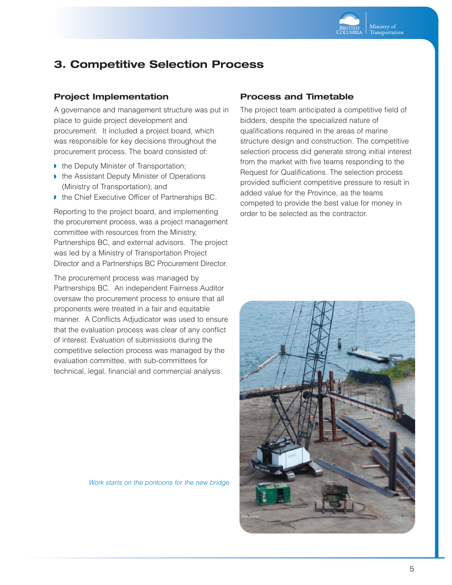

# **3. Competitive Selection Process**

### **Project Implementation**

A governance and management structure was put in place to guide project development and procurement. It included a project board, which was responsible for key decisions throughout the procurement process. The board consisted of:

- ◗ the Deputy Minister of Transportation;
- ◗ the Assistant Deputy Minister of Operations (Ministry of Transportation); and
- the Chief Executive Officer of Partnerships BC.

Reporting to the project board, and implementing the procurement process, was a project management committee with resources from the Ministry, Partnerships BC, and external advisors. The project was led by a Ministry of Transportation Project Director and a Partnerships BC Procurement Director.

The procurement process was managed by Partnerships BC. An independent Fairness Auditor oversaw the procurement process to ensure that all proponents were treated in a fair and equitable manner. A Conflicts Adjudicator was used to ensure that the evaluation process was clear of any conflict of interest. Evaluation of submissions during the competitive selection process was managed by the evaluation committee, with sub-committees for technical, legal, financial and commercial analysis.

#### *Work starts on the pontoons for the new bridge*

#### **Process and Timetable**

The project team anticipated a competitive field of bidders, despite the specialized nature of qualifications required in the areas of marine structure design and construction. The competitive selection process did generate strong initial interest from the market with five teams responding to the Request for Qualifications. The selection process provided sufficient competitive pressure to result in added value for the Province, as the teams competed to provide the best value for money in order to be selected as the contractor.

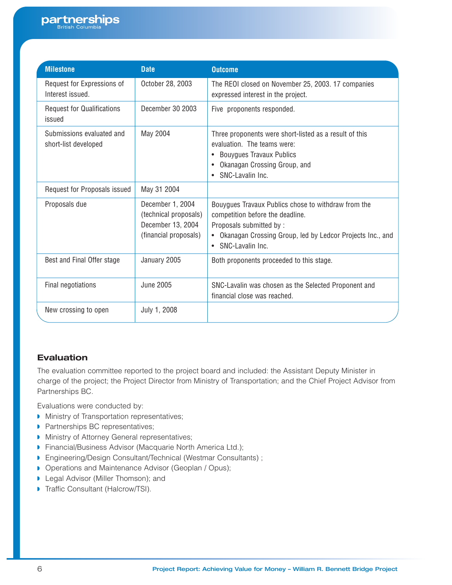| <b>Milestone</b>                                  | <b>Date</b>                                                                             | <b>Outcome</b>                                                                                                                                                                                        |
|---------------------------------------------------|-----------------------------------------------------------------------------------------|-------------------------------------------------------------------------------------------------------------------------------------------------------------------------------------------------------|
| Request for Expressions of<br>Interest issued.    | October 28, 2003                                                                        | The REOI closed on November 25, 2003. 17 companies<br>expressed interest in the project.                                                                                                              |
| <b>Request for Qualifications</b><br>issued       | December 30 2003                                                                        | Five proponents responded.                                                                                                                                                                            |
| Submissions evaluated and<br>short-list developed | May 2004                                                                                | Three proponents were short-listed as a result of this<br>evaluation. The teams were:<br><b>Bouygues Travaux Publics</b><br>Okanagan Crossing Group, and<br>$\bullet$<br>• SNC-Lavalin Inc.           |
| Request for Proposals issued                      | May 31 2004                                                                             |                                                                                                                                                                                                       |
| Proposals due                                     | December 1, 2004<br>(technical proposals)<br>December 13, 2004<br>(financial proposals) | Bouygues Travaux Publics chose to withdraw from the<br>competition before the deadline.<br>Proposals submitted by:<br>Okanagan Crossing Group, led by Ledcor Projects Inc., and<br>• SNC-Lavalin Inc. |
| Best and Final Offer stage                        | January 2005                                                                            | Both proponents proceeded to this stage.                                                                                                                                                              |
| Final negotiations                                | <b>June 2005</b>                                                                        | SNC-Lavalin was chosen as the Selected Proponent and<br>financial close was reached.                                                                                                                  |
| New crossing to open                              | July 1, 2008                                                                            |                                                                                                                                                                                                       |

# **Evaluation**

The evaluation committee reported to the project board and included: the Assistant Deputy Minister in charge of the project; the Project Director from Ministry of Transportation; and the Chief Project Advisor from Partnerships BC.

Evaluations were conducted by:

- ◗ Ministry of Transportation representatives;
- ◗ Partnerships BC representatives;
- ◗ Ministry of Attorney General representatives;
- ◗ Financial/Business Advisor (Macquarie North America Ltd.);
- ◗ Engineering/Design Consultant/Technical (Westmar Consultants) ;
- ◗ Operations and Maintenance Advisor (Geoplan / Opus);
- ◗ Legal Advisor (Miller Thomson); and
- ◗ Traffic Consultant (Halcrow/TSI).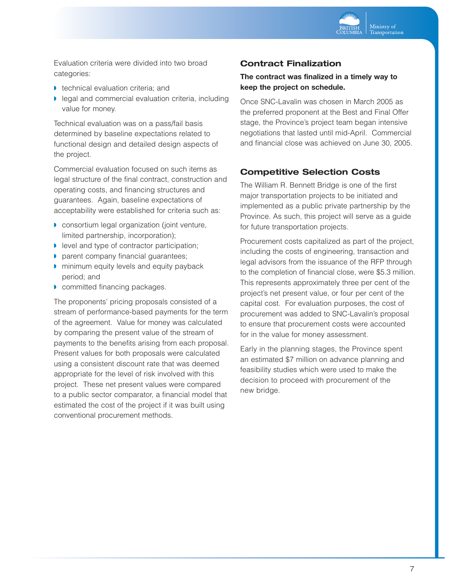

Evaluation criteria were divided into two broad categories:

- ◗ technical evaluation criteria; and
- ◗ legal and commercial evaluation criteria, including value for money.

Technical evaluation was on a pass/fail basis determined by baseline expectations related to functional design and detailed design aspects of the project.

Commercial evaluation focused on such items as legal structure of the final contract, construction and operating costs, and financing structures and guarantees. Again, baseline expectations of acceptability were established for criteria such as:

- ◗ consortium legal organization (joint venture, limited partnership, incorporation);
- ◗ level and type of contractor participation;
- ◗ parent company financial guarantees;
- ◗ minimum equity levels and equity payback period; and
- ◗ committed financing packages.

The proponents' pricing proposals consisted of a stream of performance-based payments for the term of the agreement. Value for money was calculated by comparing the present value of the stream of payments to the benefits arising from each proposal. Present values for both proposals were calculated using a consistent discount rate that was deemed appropriate for the level of risk involved with this project. These net present values were compared to a public sector comparator, a financial model that estimated the cost of the project if it was built using conventional procurement methods.

#### **Contract Finalization**

#### **The contract was finalized in a timely way to keep the project on schedule.**

Once SNC-Lavalin was chosen in March 2005 as the preferred proponent at the Best and Final Offer stage, the Province's project team began intensive negotiations that lasted until mid-April. Commercial and financial close was achieved on June 30, 2005.

### **Competitive Selection Costs**

The William R. Bennett Bridge is one of the first major transportation projects to be initiated and implemented as a public private partnership by the Province. As such, this project will serve as a guide for future transportation projects.

Procurement costs capitalized as part of the project, including the costs of engineering, transaction and legal advisors from the issuance of the RFP through to the completion of financial close, were \$5.3 million. This represents approximately three per cent of the project's net present value, or four per cent of the capital cost. For evaluation purposes, the cost of procurement was added to SNC-Lavalin's proposal to ensure that procurement costs were accounted for in the value for money assessment.

Early in the planning stages, the Province spent an estimated \$7 million on advance planning and feasibility studies which were used to make the decision to proceed with procurement of the new bridge.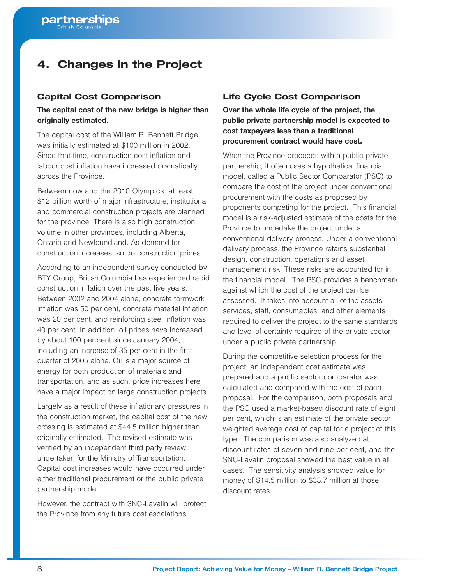# **4. Changes in the Project**

#### **Capital Cost Comparison**

#### **The capital cost of the new bridge is higher than originally estimated.**

The capital cost of the William R. Bennett Bridge was initially estimated at \$100 million in 2002. Since that time, construction cost inflation and labour cost inflation have increased dramatically across the Province.

Between now and the 2010 Olympics, at least \$12 billion worth of major infrastructure, institutional and commercial construction projects are planned for the province. There is also high construction volume in other provinces, including Alberta, Ontario and Newfoundland. As demand for construction increases, so do construction prices.

According to an independent survey conducted by BTY Group, British Columbia has experienced rapid construction inflation over the past five years. Between 2002 and 2004 alone, concrete formwork inflation was 50 per cent, concrete material inflation was 20 per cent, and reinforcing steel inflation was 40 per cent. In addition, oil prices have increased by about 100 per cent since January 2004, including an increase of 35 per cent in the first quarter of 2005 alone. Oil is a major source of energy for both production of materials and transportation, and as such, price increases here have a major impact on large construction projects.

Largely as a result of these inflationary pressures in the construction market, the capital cost of the new crossing is estimated at \$44.5 million higher than originally estimated. The revised estimate was verified by an independent third party review undertaken for the Ministry of Transportation. Capital cost increases would have occurred under either traditional procurement or the public private partnership model.

However, the contract with SNC-Lavalin will protect the Province from any future cost escalations.

### **Life Cycle Cost Comparison**

**Over the whole life cycle of the project, the public private partnership model is expected to cost taxpayers less than a traditional procurement contract would have cost.**

When the Province proceeds with a public private partnership, it often uses a hypothetical financial model, called a Public Sector Comparator (PSC) to compare the cost of the project under conventional procurement with the costs as proposed by proponents competing for the project. This financial model is a risk-adjusted estimate of the costs for the Province to undertake the project under a conventional delivery process. Under a conventional delivery process, the Province retains substantial design, construction, operations and asset management risk. These risks are accounted for in the financial model. The PSC provides a benchmark against which the cost of the project can be assessed. It takes into account all of the assets, services, staff, consumables, and other elements required to deliver the project to the same standards and level of certainty required of the private sector under a public private partnership.

During the competitive selection process for the project, an independent cost estimate was prepared and a public sector comparator was calculated and compared with the cost of each proposal. For the comparison, both proposals and the PSC used a market-based discount rate of eight per cent, which is an estimate of the private sector weighted average cost of capital for a project of this type. The comparison was also analyzed at discount rates of seven and nine per cent, and the SNC-Lavalin proposal showed the best value in all cases. The sensitivity analysis showed value for money of \$14.5 million to \$33.7 million at those discount rates.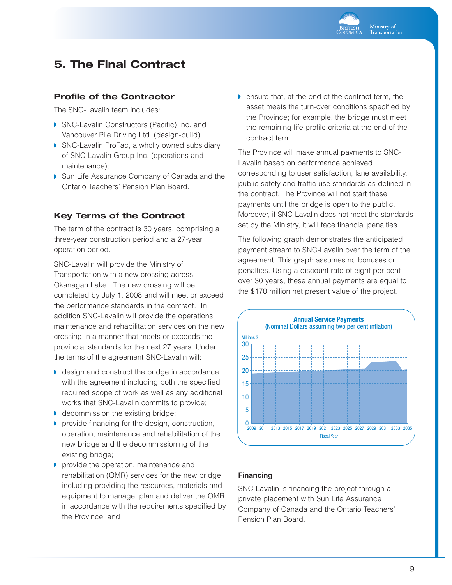

# **5. The Final Contract**

#### **Profile of the Contractor**

The SNC-Lavalin team includes:

- ◗ SNC-Lavalin Constructors (Pacific) Inc. and Vancouver Pile Driving Ltd. (design-build);
- ◗ SNC-Lavalin ProFac, a wholly owned subsidiary of SNC-Lavalin Group Inc. (operations and maintenance);
- ◗ Sun Life Assurance Company of Canada and the Ontario Teachers' Pension Plan Board.

### **Key Terms of the Contract**

The term of the contract is 30 years, comprising a three-year construction period and a 27-year operation period.

SNC-Lavalin will provide the Ministry of Transportation with a new crossing across Okanagan Lake. The new crossing will be completed by July 1, 2008 and will meet or exceed the performance standards in the contract. In addition SNC-Lavalin will provide the operations, maintenance and rehabilitation services on the new crossing in a manner that meets or exceeds the provincial standards for the next 27 years. Under the terms of the agreement SNC-Lavalin will:

- ◗ design and construct the bridge in accordance with the agreement including both the specified required scope of work as well as any additional works that SNC-Lavalin commits to provide;
- ◗ decommission the existing bridge;
- ◗ provide financing for the design, construction, operation, maintenance and rehabilitation of the new bridge and the decommissioning of the existing bridge;
- ◗ provide the operation, maintenance and rehabilitation (OMR) services for the new bridge including providing the resources, materials and equipment to manage, plan and deliver the OMR in accordance with the requirements specified by the Province; and

◗ ensure that, at the end of the contract term, the asset meets the turn-over conditions specified by the Province; for example, the bridge must meet the remaining life profile criteria at the end of the contract term.

The Province will make annual payments to SNC-Lavalin based on performance achieved corresponding to user satisfaction, lane availability, public safety and traffic use standards as defined in the contract. The Province will not start these payments until the bridge is open to the public. Moreover, if SNC-Lavalin does not meet the standards set by the Ministry, it will face financial penalties.

The following graph demonstrates the anticipated payment stream to SNC-Lavalin over the term of the agreement. This graph assumes no bonuses or penalties. Using a discount rate of eight per cent over 30 years, these annual payments are equal to the \$170 million net present value of the project.



#### **Financing**

SNC-Lavalin is financing the project through a private placement with Sun Life Assurance Company of Canada and the Ontario Teachers' Pension Plan Board.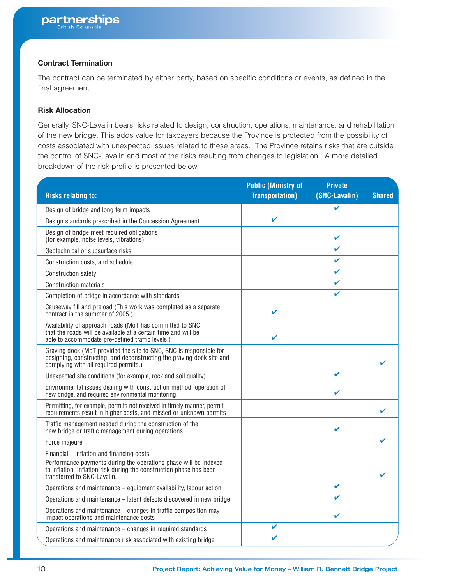#### **Contract Termination**

The contract can be terminated by either party, based on specific conditions or events, as defined in the final agreement.

#### **Risk Allocation**

Generally, SNC-Lavalin bears risks related to design, construction, operations, maintenance, and rehabilitation of the new bridge. This adds value for taxpayers because the Province is protected from the possibility of costs associated with unexpected issues related to these areas. The Province retains risks that are outside the control of SNC-Lavalin and most of the risks resulting from changes to legislation. A more detailed breakdown of the risk profile is presented below.

|                                                                                                                                                                                      | <b>Public (Ministry of</b> | <b>Private</b> |               |
|--------------------------------------------------------------------------------------------------------------------------------------------------------------------------------------|----------------------------|----------------|---------------|
| <b>Risks relating to:</b>                                                                                                                                                            | <b>Transportation</b> )    | (SNC-Lavalin)  | <b>Shared</b> |
| Design of bridge and long term impacts                                                                                                                                               |                            | ✓              |               |
| Design standards prescribed in the Concession Agreement                                                                                                                              | ✓                          |                |               |
| Design of bridge meet required obligations<br>(for example, noise levels, vibrations)                                                                                                |                            | V              |               |
| Geotechnical or subsurface risks                                                                                                                                                     |                            | ✓              |               |
| Construction costs, and schedule                                                                                                                                                     |                            | ✔              |               |
| Construction safety                                                                                                                                                                  |                            | ✓              |               |
| <b>Construction materials</b>                                                                                                                                                        |                            | ✓              |               |
| Completion of bridge in accordance with standards                                                                                                                                    |                            | ✔              |               |
| Causeway fill and preload (This work was completed as a separate<br>contract in the summer of 2005.)                                                                                 | ✓                          |                |               |
| Availability of approach roads (MoT has committed to SNC<br>that the roads will be available at a certain time and will be<br>able to accommodate pre-defined traffic levels.)       | V                          |                |               |
| Graving dock (MoT provided the site to SNC, SNC is responsible for<br>designing, constructing, and deconstructing the graving dock site and<br>complying with all required permits.) |                            |                |               |
| Unexpected site conditions (for example, rock and soil quality)                                                                                                                      |                            | $\checkmark$   |               |
| Environmental issues dealing with construction method, operation of<br>new bridge, and required environmental monitoring.                                                            |                            | V              |               |
| Permitting, for example, permits not received in timely manner, permit<br>requirements result in higher costs, and missed or unknown permits                                         |                            |                |               |
| Traffic management needed during the construction of the<br>new bridge or traffic management during operations                                                                       |                            | ✓              |               |
| Force majeure                                                                                                                                                                        |                            |                | ✔             |
| Financial - inflation and financing costs                                                                                                                                            |                            |                |               |
| Performance payments during the operations phase will be indexed<br>to inflation. Inflation risk during the construction phase has been<br>transferred to SNC-Lavalin.               |                            |                |               |
| Operations and maintenance – equipment availability, labour action                                                                                                                   |                            | ✔              |               |
| Operations and maintenance - latent defects discovered in new bridge                                                                                                                 |                            | ✓              |               |
| Operations and maintenance - changes in traffic composition may<br>impact operations and maintenance costs                                                                           |                            | ✔              |               |
| Operations and maintenance - changes in required standards                                                                                                                           | V                          |                |               |
| Operations and maintenance risk associated with existing bridge                                                                                                                      | V                          |                |               |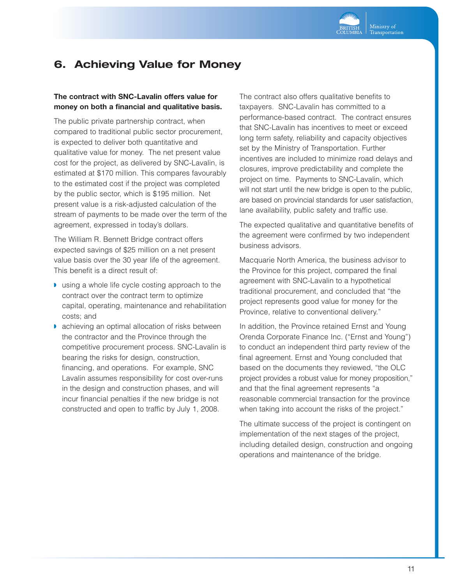

# **6. Achieving Value for Money**

#### **The contract with SNC-Lavalin offers value for money on both a financial and qualitative basis.**

The public private partnership contract, when compared to traditional public sector procurement, is expected to deliver both quantitative and qualitative value for money. The net present value cost for the project, as delivered by SNC-Lavalin, is estimated at \$170 million. This compares favourably to the estimated cost if the project was completed by the public sector, which is \$195 million. Net present value is a risk-adjusted calculation of the stream of payments to be made over the term of the agreement, expressed in today's dollars.

The William R. Bennett Bridge contract offers expected savings of \$25 million on a net present value basis over the 30 year life of the agreement. This benefit is a direct result of:

- ◗ using a whole life cycle costing approach to the contract over the contract term to optimize capital, operating, maintenance and rehabilitation costs; and
- ◗ achieving an optimal allocation of risks between the contractor and the Province through the competitive procurement process. SNC-Lavalin is bearing the risks for design, construction, financing, and operations. For example, SNC Lavalin assumes responsibility for cost over-runs in the design and construction phases, and will incur financial penalties if the new bridge is not constructed and open to traffic by July 1, 2008.

The contract also offers qualitative benefits to taxpayers. SNC-Lavalin has committed to a performance-based contract. The contract ensures that SNC-Lavalin has incentives to meet or exceed long term safety, reliability and capacity objectives set by the Ministry of Transportation. Further incentives are included to minimize road delays and closures, improve predictability and complete the project on time. Payments to SNC-Lavalin, which will not start until the new bridge is open to the public, are based on provincial standards for user satisfaction, lane availability, public safety and traffic use.

The expected qualitative and quantitative benefits of the agreement were confirmed by two independent business advisors.

Macquarie North America, the business advisor to the Province for this project, compared the final agreement with SNC-Lavalin to a hypothetical traditional procurement, and concluded that "the project represents good value for money for the Province, relative to conventional delivery."

In addition, the Province retained Ernst and Young Orenda Corporate Finance Inc. ("Ernst and Young") to conduct an independent third party review of the final agreement. Ernst and Young concluded that based on the documents they reviewed, "the OLC project provides a robust value for money proposition," and that the final agreement represents "a reasonable commercial transaction for the province when taking into account the risks of the project."

The ultimate success of the project is contingent on implementation of the next stages of the project, including detailed design, construction and ongoing operations and maintenance of the bridge.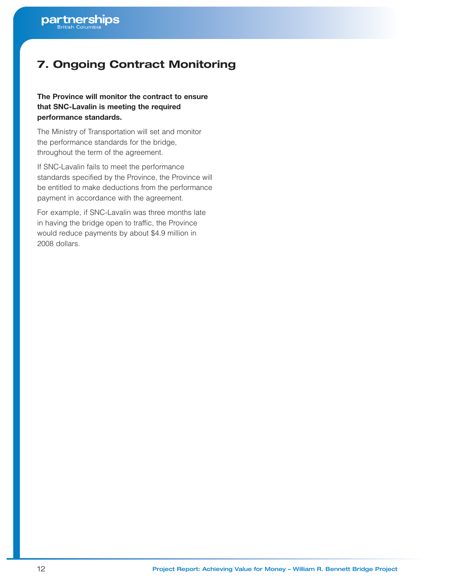# **7. Ongoing Contract Monitoring**

### **The Province will monitor the contract to ensure that SNC-Lavalin is meeting the required performance standards.**

The Ministry of Transportation will set and monitor the performance standards for the bridge, throughout the term of the agreement.

If SNC-Lavalin fails to meet the performance standards specified by the Province, the Province will be entitled to make deductions from the performance payment in accordance with the agreement.

For example, if SNC-Lavalin was three months late in having the bridge open to traffic, the Province would reduce payments by about \$4.9 million in 2008 dollars.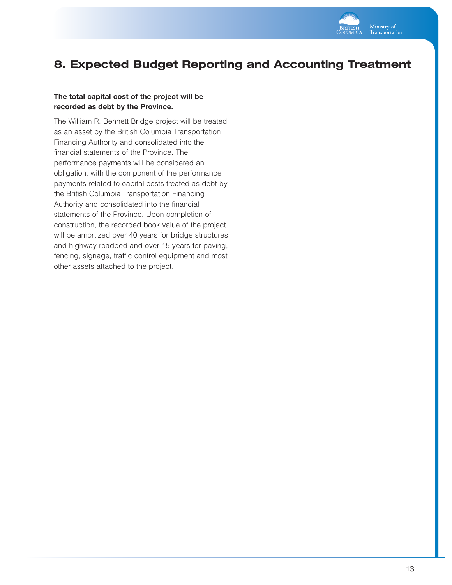

# **8. Expected Budget Reporting and Accounting Treatment**

#### **The total capital cost of the project will be recorded as debt by the Province.**

The William R. Bennett Bridge project will be treated as an asset by the British Columbia Transportation Financing Authority and consolidated into the financial statements of the Province. The performance payments will be considered an obligation, with the component of the performance payments related to capital costs treated as debt by the British Columbia Transportation Financing Authority and consolidated into the financial statements of the Province. Upon completion of construction, the recorded book value of the project will be amortized over 40 years for bridge structures and highway roadbed and over 15 years for paving, fencing, signage, traffic control equipment and most other assets attached to the project.